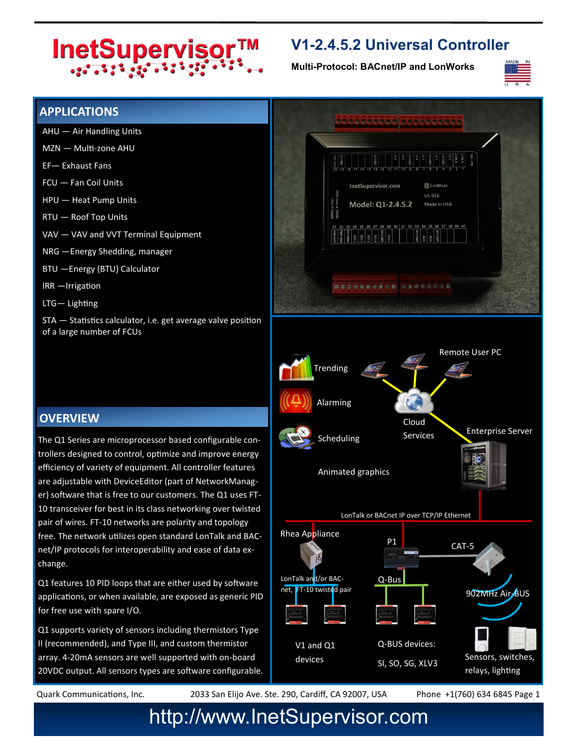# InetSupervisor™

### **V1-2.4.5.2 Universal Controller**

**Multi-Protocol: BACnet/IP and LonWorks**



#### **APPLICATIONS**

- AHU Air Handling Units
- MZN Multi-zone AHU
- EF— Exhaust Fans
- FCU Fan Coil Units
- HPU Heat Pump Units
- RTU Roof Top Units
- VAV VAV and VVT Terminal Equipment
- NRG —Energy Shedding, manager
- BTU —Energy (BTU) Calculator
- IRR —Irrigation
- LTG— Lighting

STA — Statistics calculator, i.e. get average valve position of a large number of FCUs

#### **OVERVIEW**

The Q1 Series are microprocessor based configurable controllers designed to control, optimize and improve energy efficiency of variety of equipment. All controller features are adjustable with DeviceEditor (part of NetworkManager) software that is free to our customers. The Q1 uses FT-10 transceiver for best in its class networking over twisted pair of wires. FT-10 networks are polarity and topology free. The network utilizes open standard LonTalk and BACnet/IP protocols for interoperability and ease of data exchange.

Q1 features 10 PID loops that are either used by software applications, or when available, are exposed as generic PID for free use with spare I/O.

Q1 supports variety of sensors including thermistors Type II (recommended), and Type III, and custom thermistor array. 4-20mA sensors are well supported with on-board 20VDC output. All sensors types are software configurable.



Quark Communications, Inc. 2033 San Elijo Ave. Ste. 290, Cardiff, CA 92007, USA Phone +1(760) 634 6845 Page 1

## http://www.InetSupervisor.com